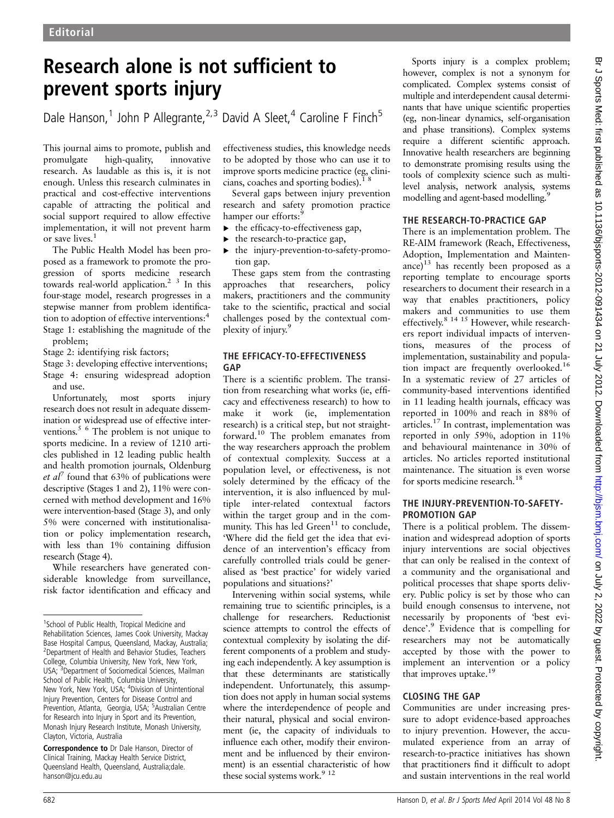# Research alone is not sufficient to prevent sports injury

Dale Hanson,<sup>1</sup> John P Allegrante,<sup>2,3</sup> David A Sleet,<sup>4</sup> Caroline F Finch<sup>5</sup>

This journal aims to promote, publish and promulgate high-quality, innovative research. As laudable as this is, it is not enough. Unless this research culminates in practical and cost-effective interventions capable of attracting the political and social support required to allow effective implementation, it will not prevent harm or save lives.<sup>1</sup>

The Public Health Model has been proposed as a framework to promote the progression of sports medicine research towards real-world application.<sup>2</sup>  $\frac{3}{7}$  In this four-stage model, research progresses in a stepwise manner from problem identification to adoption of effective interventions:<sup>4</sup> Stage 1: establishing the magnitude of the problem;

- Stage 2: identifying risk factors;
- Stage 3: developing effective interventions;
- Stage 4: ensuring widespread adoption and use.

Unfortunately, most sports injury research does not result in adequate dissemination or widespread use of effective interventions.5 6 The problem is not unique to sports medicine. In a review of 1210 articles published in 12 leading public health and health promotion journals, Oldenburg *et al*<sup>7</sup> found that 63% of publications were descriptive (Stages 1 and 2), 11% were concerned with method development and 16% were intervention-based (Stage 3), and only 5% were concerned with institutionalisation or policy implementation research, with less than 1% containing diffusion research (Stage 4).

While researchers have generated considerable knowledge from surveillance, risk factor identification and efficacy and

Correspondence to Dr Dale Hanson, Director of Clinical Training, Mackay Health Service District, Queensland Health, Queensland, Australia;dale. hanson@jcu.edu.au

effectiveness studies, this knowledge needs to be adopted by those who can use it to improve sports medicine practice (eg, clinicians, coaches and sporting bodies).<sup>18</sup>

Several gaps between injury prevention research and safety promotion practice hamper our efforts:<sup>9</sup>

- $\blacktriangleright$  the efficacy-to-effectiveness gap,
- $\blacktriangleright$  the research-to-practice gap,
- ▸ the injury-prevention-to-safety-promotion gap.

These gaps stem from the contrasting approaches that researchers, policy makers, practitioners and the community take to the scientific, practical and social challenges posed by the contextual complexity of injury.<sup>9</sup>

### THE EFFICACY-TO-EFFECTIVENESS **GAP**

There is a scientific problem. The transition from researching what works (ie, efficacy and effectiveness research) to how to make it work (ie, implementation research) is a critical step, but not straightforward.10 The problem emanates from the way researchers approach the problem of contextual complexity. Success at a population level, or effectiveness, is not solely determined by the efficacy of the intervention, it is also influenced by multiple inter-related contextual factors within the target group and in the community. This has led  $Green<sup>11</sup>$  to conclude, 'Where did the field get the idea that evidence of an intervention's efficacy from carefully controlled trials could be generalised as 'best practice' for widely varied populations and situations?'

Intervening within social systems, while remaining true to scientific principles, is a challenge for researchers. Reductionist science attempts to control the effects of contextual complexity by isolating the different components of a problem and studying each independently. A key assumption is that these determinants are statistically independent. Unfortunately, this assumption does not apply in human social systems where the interdependence of people and their natural, physical and social environment (ie, the capacity of individuals to influence each other, modify their environment and be influenced by their environment) is an essential characteristic of how these social systems work.<sup>9</sup><sup>12</sup>

Sports injury is a complex problem; however, complex is not a synonym for complicated. Complex systems consist of multiple and interdependent causal determinants that have unique scientific properties (eg, non-linear dynamics, self-organisation and phase transitions). Complex systems require a different scientific approach. Innovative health researchers are beginning to demonstrate promising results using the tools of complexity science such as multilevel analysis, network analysis, systems modelling and agent-based modelling.<sup>9</sup>

#### THE RESEARCH-TO-PRACTICE GAP

There is an implementation problem. The RE-AIM framework (Reach, Effectiveness, Adoption, Implementation and Maintenance) $13$  has recently been proposed as a reporting template to encourage sports researchers to document their research in a way that enables practitioners, policy makers and communities to use them effectively.<sup>8 14 15</sup> However, while researchers report individual impacts of interventions, measures of the process of implementation, sustainability and population impact are frequently overlooked.<sup>16</sup> In a systematic review of 27 articles of community-based interventions identified in 11 leading health journals, efficacy was reported in 100% and reach in 88% of articles.<sup>17</sup> In contrast, implementation was reported in only 59%, adoption in 11% and behavioural maintenance in 30% of articles. No articles reported institutional maintenance. The situation is even worse for sports medicine research.<sup>18</sup>

# THE INJURY-PREVENTION-TO-SAFETY-PROMOTION GAP

There is a political problem. The dissemination and widespread adoption of sports injury interventions are social objectives that can only be realised in the context of a community and the organisational and political processes that shape sports delivery. Public policy is set by those who can build enough consensus to intervene, not necessarily by proponents of 'best evidence'. <sup>9</sup> Evidence that is compelling for researchers may not be automatically accepted by those with the power to implement an intervention or a policy that improves uptake.<sup>19</sup>

## CLOSING THE GAP

Communities are under increasing pressure to adopt evidence-based approaches to injury prevention. However, the accumulated experience from an array of research-to-practice initiatives has shown that practitioners find it difficult to adopt and sustain interventions in the real world

<sup>&</sup>lt;sup>1</sup>School of Public Health, Tropical Medicine and Rehabilitation Sciences, James Cook University, Mackay Base Hospital Campus, Queensland, Mackay, Australia; 2 Department of Health and Behavior Studies, Teachers College, Columbia University, New York, New York, USA; <sup>3</sup>Department of Sociomedical Sciences, Mailman School of Public Health, Columbia University, New York, New York, USA; <sup>4</sup>Division of Unintentional Injury Prevention, Centers for Disease Control and Prevention, Atlanta, Georgia, USA; <sup>5</sup>Australian Centre for Research into Injury in Sport and its Prevention, Monash Injury Research Institute, Monash University, Clayton, Victoria, Australia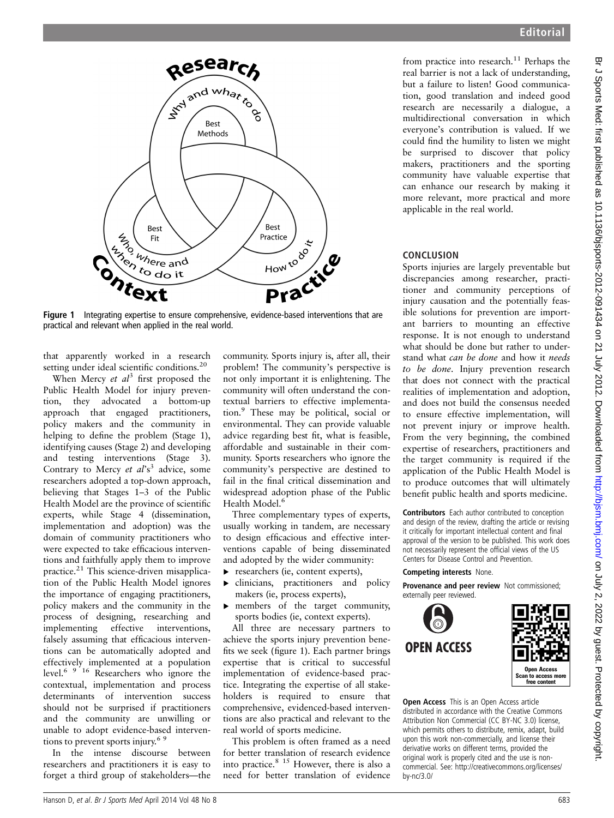

practical and relevant when applied in the real world.

that apparently worked in a research setting under ideal scientific conditions.<sup>20</sup>

When Mercy et  $al^3$  first proposed the Public Health Model for injury prevention, they advocated a bottom-up approach that engaged practitioners, policy makers and the community in helping to define the problem (Stage 1), identifying causes (Stage 2) and developing and testing interventions (Stage 3). Contrary to Mercy et al's<sup>3</sup> advice, some researchers adopted a top-down approach, believing that Stages 1–3 of the Public Health Model are the province of scientific experts, while Stage 4 (dissemination, implementation and adoption) was the domain of community practitioners who were expected to take efficacious interventions and faithfully apply them to improve practice.21 This science-driven misapplication of the Public Health Model ignores the importance of engaging practitioners, policy makers and the community in the process of designing, researching and implementing effective interventions, falsely assuming that efficacious interventions can be automatically adopted and effectively implemented at a population level.6 9 16 Researchers who ignore the contextual, implementation and process determinants of intervention success should not be surprised if practitioners and the community are unwilling or unable to adopt evidence-based interventions to prevent sports injury.6 9

In the intense discourse between researchers and practitioners it is easy to forget a third group of stakeholders—the community. Sports injury is, after all, their problem! The community's perspective is not only important it is enlightening. The community will often understand the contextual barriers to effective implementation.9 These may be political, social or environmental. They can provide valuable advice regarding best fit, what is feasible, affordable and sustainable in their community. Sports researchers who ignore the community's perspective are destined to fail in the final critical dissemination and widespread adoption phase of the Public Health Model.<sup>6</sup>

Three complementary types of experts, usually working in tandem, are necessary to design efficacious and effective interventions capable of being disseminated and adopted by the wider community:

- ▸ researchers (ie, content experts),
- ▸ clinicians, practitioners and policy makers (ie, process experts),
- ▸ members of the target community, sports bodies (ie, context experts).

All three are necessary partners to achieve the sports injury prevention benefits we seek (figure 1). Each partner brings expertise that is critical to successful implementation of evidence-based practice. Integrating the expertise of all stakeholders is required to ensure that comprehensive, evidenced-based interventions are also practical and relevant to the real world of sports medicine.

This problem is often framed as a need for better translation of research evidence into practice.8 15 However, there is also a need for better translation of evidence

from practice into research.<sup>11</sup> Perhaps the real barrier is not a lack of understanding, but a failure to listen! Good communication, good translation and indeed good research are necessarily a dialogue, a multidirectional conversation in which everyone's contribution is valued. If we could find the humility to listen we might be surprised to discover that policy makers, practitioners and the sporting community have valuable expertise that can enhance our research by making it more relevant, more practical and more applicable in the real world.

## **CONCLUSION**

Sports injuries are largely preventable but discrepancies among researcher, practitioner and community perceptions of injury causation and the potentially feasible solutions for prevention are important barriers to mounting an effective response. It is not enough to understand what should be done but rather to understand what can be done and how it needs to be done. Injury prevention research that does not connect with the practical realities of implementation and adoption, and does not build the consensus needed to ensure effective implementation, will not prevent injury or improve health. From the very beginning, the combined expertise of researchers, practitioners and the target community is required if the application of the Public Health Model is to produce outcomes that will ultimately benefit public health and sports medicine.

Contributors Each author contributed to conception and design of the review, drafting the article or revising it critically for important intellectual content and final approval of the version to be published. This work does not necessarily represent the official views of the US Centers for Disease Control and Prevention.

#### Competing interests None.

Provenance and peer review Not commissioned; externally peer reviewed.



**Open Access** This is an Open Access article distributed in accordance with the Creative Commons Attribution Non Commercial (CC BY-NC 3.0) license, which permits others to distribute, remix, adapt, build upon this work non-commercially, and license their derivative works on different terms, provided the original work is properly cited and the use is noncommercial. See: [http://creativecommons.org/licenses/](http://creativecommons.org/licenses/by-nc/3.0/) [by-nc/3.0/](http://creativecommons.org/licenses/by-nc/3.0/)